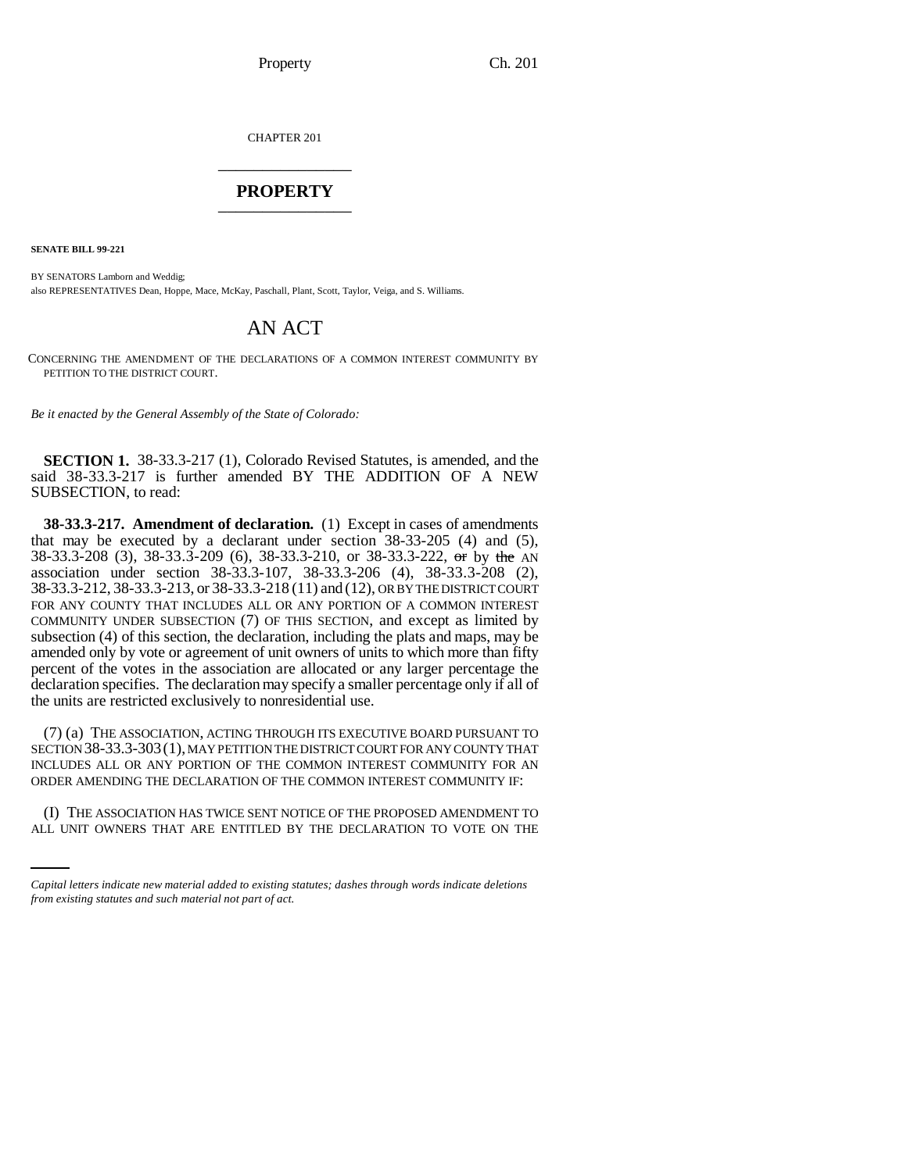CHAPTER 201 \_\_\_\_\_\_\_\_\_\_\_\_\_\_\_

## **PROPERTY** \_\_\_\_\_\_\_\_\_\_\_\_\_\_\_

**SENATE BILL 99-221** 

BY SENATORS Lamborn and Weddig; also REPRESENTATIVES Dean, Hoppe, Mace, McKay, Paschall, Plant, Scott, Taylor, Veiga, and S. Williams.

## AN ACT

CONCERNING THE AMENDMENT OF THE DECLARATIONS OF A COMMON INTEREST COMMUNITY BY PETITION TO THE DISTRICT COURT.

*Be it enacted by the General Assembly of the State of Colorado:*

**SECTION 1.** 38-33.3-217 (1), Colorado Revised Statutes, is amended, and the said 38-33.3-217 is further amended BY THE ADDITION OF A NEW SUBSECTION, to read:

**38-33.3-217. Amendment of declaration.** (1) Except in cases of amendments that may be executed by a declarant under section 38-33-205 (4) and (5), 38-33.3-208 (3), 38-33.3-209 (6), 38-33.3-210, or 38-33.3-222, or by the AN association under section 38-33.3-107, 38-33.3-206 (4), 38-33.3-208 (2), 38-33.3-212, 38-33.3-213, or 38-33.3-218 (11) and (12), OR BY THE DISTRICT COURT FOR ANY COUNTY THAT INCLUDES ALL OR ANY PORTION OF A COMMON INTEREST COMMUNITY UNDER SUBSECTION (7) OF THIS SECTION, and except as limited by subsection (4) of this section, the declaration, including the plats and maps, may be amended only by vote or agreement of unit owners of units to which more than fifty percent of the votes in the association are allocated or any larger percentage the declaration specifies. The declaration may specify a smaller percentage only if all of the units are restricted exclusively to nonresidential use.

ORDER AMENDING THE DECLARATION OF THE COMMON INTEREST COMMUNITY IF: (7) (a) THE ASSOCIATION, ACTING THROUGH ITS EXECUTIVE BOARD PURSUANT TO SECTION 38-33.3-303(1), MAY PETITION THE DISTRICT COURT FOR ANY COUNTY THAT INCLUDES ALL OR ANY PORTION OF THE COMMON INTEREST COMMUNITY FOR AN

(I) THE ASSOCIATION HAS TWICE SENT NOTICE OF THE PROPOSED AMENDMENT TO ALL UNIT OWNERS THAT ARE ENTITLED BY THE DECLARATION TO VOTE ON THE

*Capital letters indicate new material added to existing statutes; dashes through words indicate deletions from existing statutes and such material not part of act.*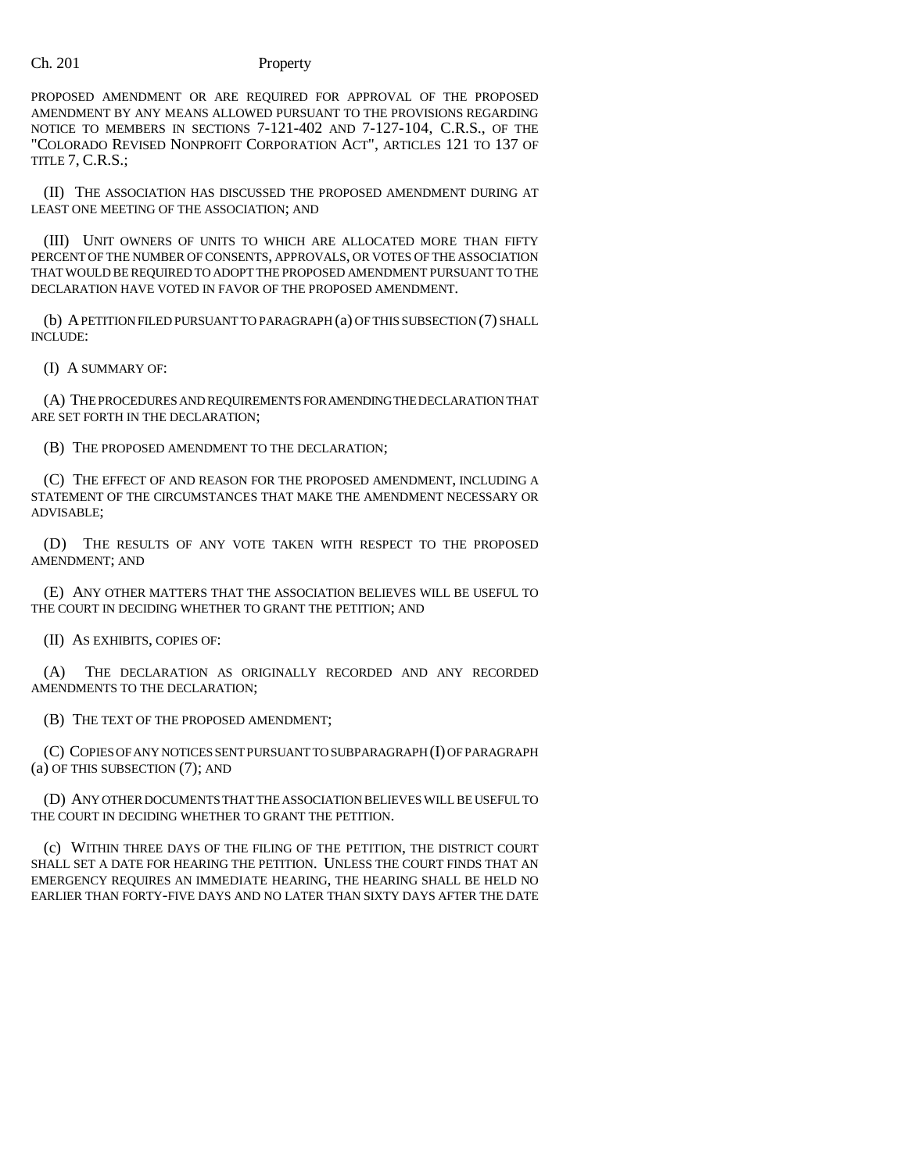## Ch. 201 Property

PROPOSED AMENDMENT OR ARE REQUIRED FOR APPROVAL OF THE PROPOSED AMENDMENT BY ANY MEANS ALLOWED PURSUANT TO THE PROVISIONS REGARDING NOTICE TO MEMBERS IN SECTIONS 7-121-402 AND 7-127-104, C.R.S., OF THE "COLORADO REVISED NONPROFIT CORPORATION ACT", ARTICLES 121 TO 137 OF TITLE 7, C.R.S.;

(II) THE ASSOCIATION HAS DISCUSSED THE PROPOSED AMENDMENT DURING AT LEAST ONE MEETING OF THE ASSOCIATION; AND

(III) UNIT OWNERS OF UNITS TO WHICH ARE ALLOCATED MORE THAN FIFTY PERCENT OF THE NUMBER OF CONSENTS, APPROVALS, OR VOTES OF THE ASSOCIATION THAT WOULD BE REQUIRED TO ADOPT THE PROPOSED AMENDMENT PURSUANT TO THE DECLARATION HAVE VOTED IN FAVOR OF THE PROPOSED AMENDMENT.

(b) A PETITION FILED PURSUANT TO PARAGRAPH (a) OF THIS SUBSECTION (7) SHALL INCLUDE:

(I) A SUMMARY OF:

(A) THE PROCEDURES AND REQUIREMENTS FOR AMENDING THE DECLARATION THAT ARE SET FORTH IN THE DECLARATION;

(B) THE PROPOSED AMENDMENT TO THE DECLARATION;

(C) THE EFFECT OF AND REASON FOR THE PROPOSED AMENDMENT, INCLUDING A STATEMENT OF THE CIRCUMSTANCES THAT MAKE THE AMENDMENT NECESSARY OR ADVISABLE;

(D) THE RESULTS OF ANY VOTE TAKEN WITH RESPECT TO THE PROPOSED AMENDMENT; AND

(E) ANY OTHER MATTERS THAT THE ASSOCIATION BELIEVES WILL BE USEFUL TO THE COURT IN DECIDING WHETHER TO GRANT THE PETITION; AND

(II) AS EXHIBITS, COPIES OF:

(A) THE DECLARATION AS ORIGINALLY RECORDED AND ANY RECORDED AMENDMENTS TO THE DECLARATION;

(B) THE TEXT OF THE PROPOSED AMENDMENT;

(C) COPIES OF ANY NOTICES SENT PURSUANT TO SUBPARAGRAPH (I) OF PARAGRAPH (a) OF THIS SUBSECTION (7); AND

(D) ANY OTHER DOCUMENTS THAT THE ASSOCIATION BELIEVES WILL BE USEFUL TO THE COURT IN DECIDING WHETHER TO GRANT THE PETITION.

(c) WITHIN THREE DAYS OF THE FILING OF THE PETITION, THE DISTRICT COURT SHALL SET A DATE FOR HEARING THE PETITION. UNLESS THE COURT FINDS THAT AN EMERGENCY REQUIRES AN IMMEDIATE HEARING, THE HEARING SHALL BE HELD NO EARLIER THAN FORTY-FIVE DAYS AND NO LATER THAN SIXTY DAYS AFTER THE DATE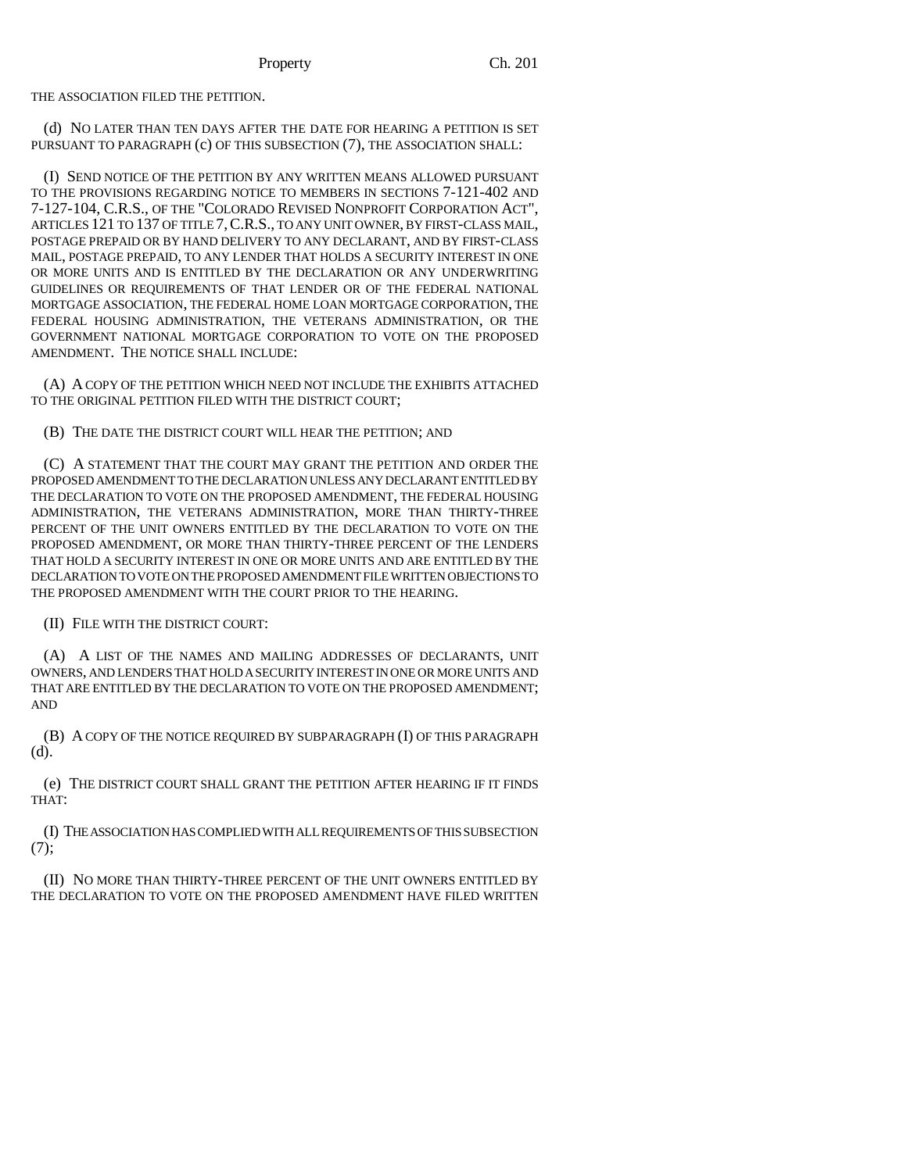THE ASSOCIATION FILED THE PETITION.

(d) NO LATER THAN TEN DAYS AFTER THE DATE FOR HEARING A PETITION IS SET PURSUANT TO PARAGRAPH (c) OF THIS SUBSECTION (7), THE ASSOCIATION SHALL:

(I) SEND NOTICE OF THE PETITION BY ANY WRITTEN MEANS ALLOWED PURSUANT TO THE PROVISIONS REGARDING NOTICE TO MEMBERS IN SECTIONS 7-121-402 AND 7-127-104, C.R.S., OF THE "COLORADO REVISED NONPROFIT CORPORATION ACT", ARTICLES 121 TO 137 OF TITLE 7,C.R.S., TO ANY UNIT OWNER, BY FIRST-CLASS MAIL, POSTAGE PREPAID OR BY HAND DELIVERY TO ANY DECLARANT, AND BY FIRST-CLASS MAIL, POSTAGE PREPAID, TO ANY LENDER THAT HOLDS A SECURITY INTEREST IN ONE OR MORE UNITS AND IS ENTITLED BY THE DECLARATION OR ANY UNDERWRITING GUIDELINES OR REQUIREMENTS OF THAT LENDER OR OF THE FEDERAL NATIONAL MORTGAGE ASSOCIATION, THE FEDERAL HOME LOAN MORTGAGE CORPORATION, THE FEDERAL HOUSING ADMINISTRATION, THE VETERANS ADMINISTRATION, OR THE GOVERNMENT NATIONAL MORTGAGE CORPORATION TO VOTE ON THE PROPOSED AMENDMENT. THE NOTICE SHALL INCLUDE:

(A) A COPY OF THE PETITION WHICH NEED NOT INCLUDE THE EXHIBITS ATTACHED TO THE ORIGINAL PETITION FILED WITH THE DISTRICT COURT;

(B) THE DATE THE DISTRICT COURT WILL HEAR THE PETITION; AND

(C) A STATEMENT THAT THE COURT MAY GRANT THE PETITION AND ORDER THE PROPOSED AMENDMENT TO THE DECLARATION UNLESS ANY DECLARANT ENTITLED BY THE DECLARATION TO VOTE ON THE PROPOSED AMENDMENT, THE FEDERAL HOUSING ADMINISTRATION, THE VETERANS ADMINISTRATION, MORE THAN THIRTY-THREE PERCENT OF THE UNIT OWNERS ENTITLED BY THE DECLARATION TO VOTE ON THE PROPOSED AMENDMENT, OR MORE THAN THIRTY-THREE PERCENT OF THE LENDERS THAT HOLD A SECURITY INTEREST IN ONE OR MORE UNITS AND ARE ENTITLED BY THE DECLARATION TO VOTE ON THE PROPOSED AMENDMENT FILE WRITTEN OBJECTIONS TO THE PROPOSED AMENDMENT WITH THE COURT PRIOR TO THE HEARING.

(II) FILE WITH THE DISTRICT COURT:

(A) A LIST OF THE NAMES AND MAILING ADDRESSES OF DECLARANTS, UNIT OWNERS, AND LENDERS THAT HOLD A SECURITY INTEREST IN ONE OR MORE UNITS AND THAT ARE ENTITLED BY THE DECLARATION TO VOTE ON THE PROPOSED AMENDMENT; AND

(B) A COPY OF THE NOTICE REQUIRED BY SUBPARAGRAPH (I) OF THIS PARAGRAPH (d).

(e) THE DISTRICT COURT SHALL GRANT THE PETITION AFTER HEARING IF IT FINDS THAT:

(I) THE ASSOCIATION HAS COMPLIED WITH ALL REQUIREMENTS OF THIS SUBSECTION (7);

(II) NO MORE THAN THIRTY-THREE PERCENT OF THE UNIT OWNERS ENTITLED BY THE DECLARATION TO VOTE ON THE PROPOSED AMENDMENT HAVE FILED WRITTEN